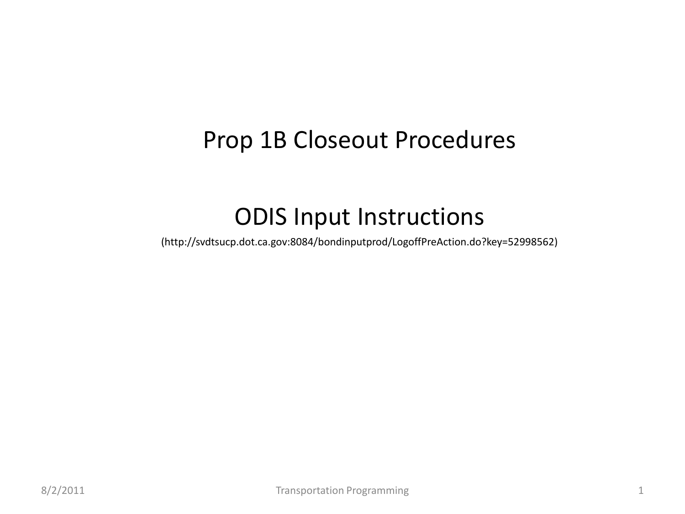# Prop 1B Closeout Procedures

# ODIS Input Instructions

(<http://svdtsucp.dot.ca.gov:8084/bondinputprod/LogoffPreAction.do?key=52998562>)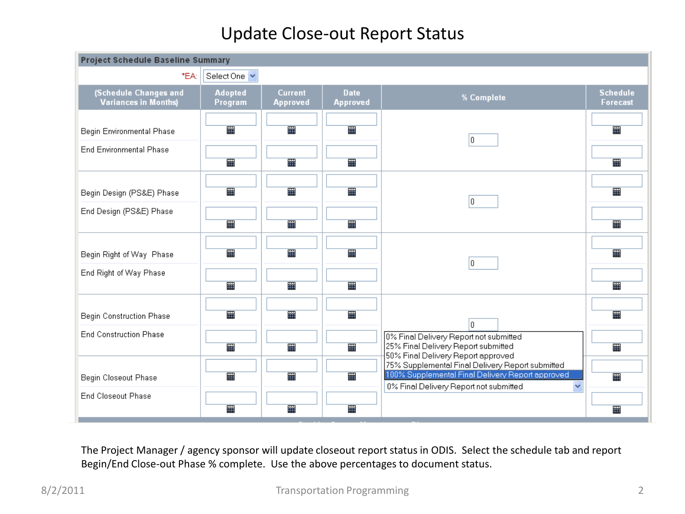## Update Close-out Report Status

| Project Schedule Baseline Summary                           |                           |                                   |                                |                                                                                                                                                                |                                    |
|-------------------------------------------------------------|---------------------------|-----------------------------------|--------------------------------|----------------------------------------------------------------------------------------------------------------------------------------------------------------|------------------------------------|
| *EA:                                                        | Select One v              |                                   |                                |                                                                                                                                                                |                                    |
| <b>(Schedule Changes and</b><br><b>Variances in Months)</b> | <b>Adopted</b><br>Program | <b>Current</b><br><b>Approved</b> | <b>Date</b><br><b>Approved</b> | % Complete                                                                                                                                                     | <b>Schedule</b><br><b>Forecast</b> |
| Begin Environmental Phase                                   | 羀                         | 噩                                 | 噩                              | 0                                                                                                                                                              | 噩                                  |
| <b>End Environmental Phase</b>                              | 冊                         | 疆                                 | 噩                              |                                                                                                                                                                | 噩                                  |
| Begin Design (PS&E) Phase                                   | 齏                         | 噩                                 | m                              | I٥.                                                                                                                                                            | 噩                                  |
| End Design (PS&E) Phase                                     | 羀                         | 疆                                 | 冊                              |                                                                                                                                                                | 噩                                  |
| Begin Right of Way Phase                                    | 羀                         | 畾                                 | m                              | 0                                                                                                                                                              | 羀                                  |
| End Right of Way Phase                                      | 雦                         | 冊                                 | 冊                              |                                                                                                                                                                | 噩                                  |
| <b>Begin Construction Phase</b>                             | 雦                         | 冊                                 | 噩                              | lo.                                                                                                                                                            | 噩                                  |
| <b>End Construction Phase</b>                               | 羀                         | 匷                                 | 匷                              | 0% Final Delivery Report not submitted<br>25% Final Delivery Report submitted<br>50% Final Delivery Report approved                                            | 羀                                  |
| Begin Closeout Phase                                        | 罹                         | 噩                                 | 噩                              | 75% Supplemental Final Delivery Report submitted<br>100% Supplemental Final Delivery Report approved<br>0% Final Delivery Report not submitted<br>$\checkmark$ | 羀                                  |
| <b>End Closeout Phase</b>                                   | 疆                         | 噩                                 | 噩                              |                                                                                                                                                                | 噩                                  |

The Project Manager / agency sponsor will update closeout report status in ODIS. Select the schedule tab and report Begin/End Close-out Phase % complete. Use the above percentages to document status.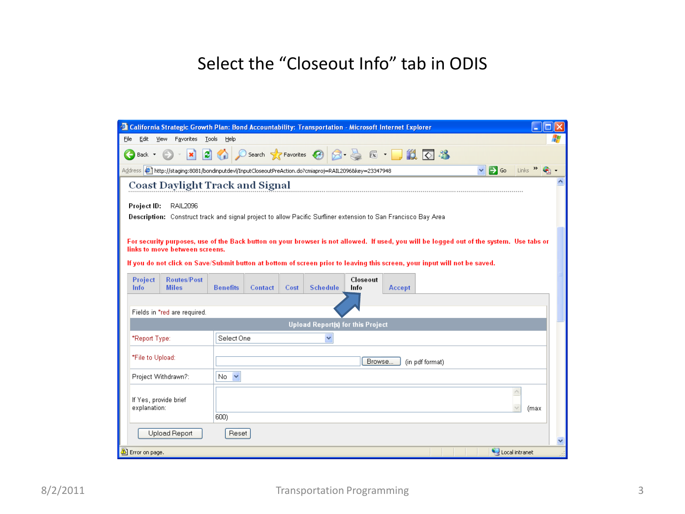## Select the "Closeout Info" tab in ODIS

| <sup>2</sup> California Strategic Growth Plan: Bond Accountability: Transportation - Microsoft Internet Explorer                                       |  |
|--------------------------------------------------------------------------------------------------------------------------------------------------------|--|
| Edit<br>View Favorites Tools Help<br>File                                                                                                              |  |
| <b>2 1 0 Search 大 Favorites ④ Q - 忌 区 - ■ 説 区 巻</b><br>$ \mathbf{x} $<br>Back *                                                                        |  |
| $\Rightarrow$ Go<br>Links >><br>Address (2) http://staging:8081/bondinputdevl/InputCloseoutPreAction.do?cmiaproj=RAIL2096&key=23347948<br>$\checkmark$ |  |
| <b>Coast Daylight Track and Signal</b>                                                                                                                 |  |
|                                                                                                                                                        |  |
| Project ID:<br>RAIL2096<br>Description: Construct track and signal project to allow Pacific Surfliner extension to San Francisco Bay Area              |  |
|                                                                                                                                                        |  |
| For security purposes, use of the Back button on your browser is not allowed. If used, you will be logged out of the system. Use tabs or               |  |
| links to move between screens.                                                                                                                         |  |
| If you do not click on Save/Submit button at bottom of screen prior to leaving this screen, your input will not be saved.                              |  |
| <b>Routes/Post</b><br>Closeout<br><b>Project</b>                                                                                                       |  |
| <b>Schedule</b><br>Info<br><b>Miles</b><br><b>Benefits</b><br><b>Contact</b><br>Info<br>Accept<br>Cost                                                 |  |
|                                                                                                                                                        |  |
| Fields in *red are required.<br><b>Upload Report(s) for this Project</b>                                                                               |  |
| Select One<br>v                                                                                                                                        |  |
| *Report Type:                                                                                                                                          |  |
| *File to Upload:<br>Browse<br>(in pdf format)                                                                                                          |  |
| $\checkmark$<br>Project Withdrawn?:<br>No.                                                                                                             |  |
|                                                                                                                                                        |  |
| $\overline{\phantom{a}}$<br>If Yes, provide brief                                                                                                      |  |
| explanation:<br>(max                                                                                                                                   |  |
| 600)                                                                                                                                                   |  |
| Upload Report<br>Reset                                                                                                                                 |  |
| Local intranet<br>Error on page.                                                                                                                       |  |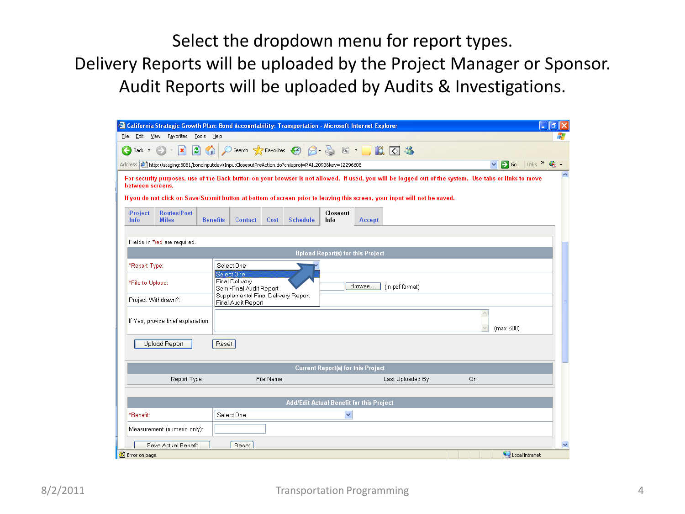Select the dropdown menu for report types. Delivery Reports will be uploaded by the Project Manager or Sponsor. Audit Reports will be uploaded by Audits & Investigations.

|                         |                        | <sup>2</sup> California Strategic Growth Plan: Bond Accountability: Transportation - Microsoft Internet Explorer |                 |                                                          |           |                                                   |                                           |        |                                                                                                                                                                                                                                                                                     |    |                                          |                 | $\sim$              | a            |
|-------------------------|------------------------|------------------------------------------------------------------------------------------------------------------|-----------------|----------------------------------------------------------|-----------|---------------------------------------------------|-------------------------------------------|--------|-------------------------------------------------------------------------------------------------------------------------------------------------------------------------------------------------------------------------------------------------------------------------------------|----|------------------------------------------|-----------------|---------------------|--------------|
| File                    |                        | Edit View Favorites Tools Help                                                                                   |                 |                                                          |           |                                                   |                                           |        |                                                                                                                                                                                                                                                                                     |    |                                          |                 |                     |              |
| $\overline{\textbf{f}}$ | Back *                 | $\vert x \vert$                                                                                                  |                 |                                                          |           | <b>2 1 0 Search ☆Favorites ④ 8 点 G · D 13 区 %</b> |                                           |        |                                                                                                                                                                                                                                                                                     |    |                                          |                 |                     |              |
|                         |                        | Address (2) http://staging:8081/bondinputdevl/InputCloseoutPreAction.do?cmiaproj=RAIL2093&key=12296608           |                 |                                                          |           |                                                   |                                           |        |                                                                                                                                                                                                                                                                                     |    | $\checkmark$                             | $\mathbf{B}$ Go | Links $\rightarrow$ |              |
|                         | between screens.       |                                                                                                                  |                 |                                                          |           |                                                   |                                           |        | For security purposes, use of the Back button on your browser is not allowed. If used, you will be logged out of the system. Use tabs or links to move<br>If you do not click on Save/Submit button at bottom of screen prior to leaving this screen, your input will not be saved. |    |                                          |                 |                     |              |
|                         | Project<br><b>Info</b> | <b>Routes/Post</b><br><b>Miles</b>                                                                               | <b>Benefits</b> | Contact                                                  | Cost      | <b>Schedule</b>                                   | Closeout<br>Info                          | Accept |                                                                                                                                                                                                                                                                                     |    |                                          |                 |                     |              |
|                         |                        | Fields in *red are required.                                                                                     |                 |                                                          |           |                                                   |                                           |        |                                                                                                                                                                                                                                                                                     |    |                                          |                 |                     |              |
|                         |                        |                                                                                                                  |                 |                                                          |           |                                                   | <b>Upload Report(s) for this Project</b>  |        |                                                                                                                                                                                                                                                                                     |    |                                          |                 |                     |              |
|                         | *Report Type:          |                                                                                                                  |                 | Select One<br>Select One                                 |           |                                                   |                                           |        |                                                                                                                                                                                                                                                                                     |    |                                          |                 |                     |              |
|                         | *File to Upload:       |                                                                                                                  |                 | Final Delivery<br>Semi-Final Audit Report                |           |                                                   |                                           | Browse | (in pdf format)                                                                                                                                                                                                                                                                     |    |                                          |                 |                     |              |
|                         |                        | Project Withdrawn?:                                                                                              |                 | Supplemental Final Delivery Report<br>Final Audit Report |           |                                                   |                                           |        |                                                                                                                                                                                                                                                                                     |    |                                          |                 |                     |              |
|                         |                        | If Yes, provide brief explanation:                                                                               |                 |                                                          |           |                                                   |                                           |        |                                                                                                                                                                                                                                                                                     |    | $\overline{\phantom{a}}$<br>$\checkmark$ | (max 600)       |                     |              |
|                         |                        | <b>Upload Report</b>                                                                                             | Reset           |                                                          |           |                                                   |                                           |        |                                                                                                                                                                                                                                                                                     |    |                                          |                 |                     |              |
|                         |                        |                                                                                                                  |                 |                                                          |           |                                                   | <b>Current Report(s) for this Project</b> |        |                                                                                                                                                                                                                                                                                     |    |                                          |                 |                     |              |
|                         |                        | Report Type                                                                                                      |                 |                                                          | File Name |                                                   |                                           |        | Last Uploaded By                                                                                                                                                                                                                                                                    | On |                                          |                 |                     |              |
|                         |                        |                                                                                                                  |                 |                                                          |           |                                                   |                                           |        |                                                                                                                                                                                                                                                                                     |    |                                          |                 |                     |              |
|                         |                        |                                                                                                                  |                 |                                                          |           | Add/Edit Actual Benefit for this Project          |                                           |        |                                                                                                                                                                                                                                                                                     |    |                                          |                 |                     |              |
|                         | *Benefit:              |                                                                                                                  |                 | Select One                                               |           |                                                   | v                                         |        |                                                                                                                                                                                                                                                                                     |    |                                          |                 |                     |              |
|                         |                        | Measurement (numeric only):                                                                                      |                 |                                                          |           |                                                   |                                           |        |                                                                                                                                                                                                                                                                                     |    |                                          |                 |                     |              |
|                         |                        | Save Actual Benefit                                                                                              |                 | Reset                                                    |           |                                                   |                                           |        |                                                                                                                                                                                                                                                                                     |    |                                          |                 |                     | $\checkmark$ |
|                         | Error on page.         |                                                                                                                  |                 |                                                          |           |                                                   |                                           |        |                                                                                                                                                                                                                                                                                     |    |                                          |                 | Local intranet      |              |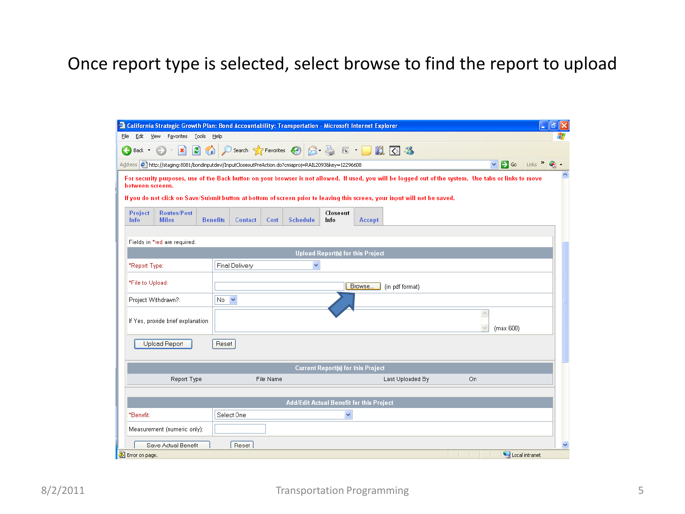## Once report type is selected, select browse to find the report to upload

|                                                                                                                                                                                                                                                                                                         | <sup>2</sup> California Strategic Growth Plan: Bond Accountability: Transportation - Microsoft Internet Explorer |                 |                |           |                                                |                                           |        |                  |                                          |                                 | ő<br>$\blacksquare$                         |
|---------------------------------------------------------------------------------------------------------------------------------------------------------------------------------------------------------------------------------------------------------------------------------------------------------|------------------------------------------------------------------------------------------------------------------|-----------------|----------------|-----------|------------------------------------------------|-------------------------------------------|--------|------------------|------------------------------------------|---------------------------------|---------------------------------------------|
| File                                                                                                                                                                                                                                                                                                    | Edit View Favorites Tools Help                                                                                   |                 |                |           |                                                |                                           |        |                  |                                          |                                 |                                             |
| €<br>Back *                                                                                                                                                                                                                                                                                             | $\vert \mathbf{x} \vert$                                                                                         |                 |                |           | <b>2 1 0 Search ☆Favorites ④ 8 点 区 ■ 以 区 %</b> |                                           |        |                  |                                          |                                 |                                             |
|                                                                                                                                                                                                                                                                                                         | Address ( ) http://staging:8081/bondinputdevl/InputCloseoutPreAction.do?cmiaproj=RAIL20938key=12296608           |                 |                |           |                                                |                                           |        |                  |                                          | $\mathbf{B}$ Go<br>$\checkmark$ | $Links$ <sup><math>\rightarrow</math></sup> |
| For security purposes, use of the Back button on your browser is not allowed. If used, you will be logged out of the system. Use tabs or links to move<br>between screens.<br>If you do not click on Save/Submit button at bottom of screen prior to leaving this screen, your input will not be saved. |                                                                                                                  |                 |                |           |                                                |                                           |        |                  |                                          |                                 |                                             |
| Project<br><b>Info</b>                                                                                                                                                                                                                                                                                  | <b>Routes/Post</b><br><b>Miles</b>                                                                               | <b>Benefits</b> | Contact        | Cost      | <b>Schedule</b>                                | Closeout<br>Info                          | Accept |                  |                                          |                                 |                                             |
|                                                                                                                                                                                                                                                                                                         | Fields in *red are required.                                                                                     |                 |                |           |                                                | <b>Upload Report(s) for this Project</b>  |        |                  |                                          |                                 |                                             |
|                                                                                                                                                                                                                                                                                                         |                                                                                                                  |                 |                |           | $\checkmark$                                   |                                           |        |                  |                                          |                                 |                                             |
| *Report Type:                                                                                                                                                                                                                                                                                           |                                                                                                                  |                 | Final Delivery |           |                                                |                                           |        |                  |                                          |                                 |                                             |
| *File to Upload:                                                                                                                                                                                                                                                                                        |                                                                                                                  |                 |                |           |                                                |                                           | Browse | (in pdf format)  |                                          |                                 |                                             |
| Project Withdrawn?:                                                                                                                                                                                                                                                                                     |                                                                                                                  | No Y            |                |           |                                                |                                           |        |                  |                                          |                                 |                                             |
|                                                                                                                                                                                                                                                                                                         | If Yes, provide brief explanation:                                                                               |                 |                |           |                                                |                                           |        |                  | $\overline{\phantom{a}}$<br>$\checkmark$ | (max 600)                       |                                             |
|                                                                                                                                                                                                                                                                                                         | <b>Upload Report</b>                                                                                             | Reset           |                |           |                                                |                                           |        |                  |                                          |                                 |                                             |
|                                                                                                                                                                                                                                                                                                         |                                                                                                                  |                 |                |           |                                                | <b>Current Report(s) for this Project</b> |        |                  |                                          |                                 |                                             |
|                                                                                                                                                                                                                                                                                                         | Report Type                                                                                                      |                 |                | File Name |                                                |                                           |        | Last Uploaded By | On                                       |                                 |                                             |
|                                                                                                                                                                                                                                                                                                         |                                                                                                                  |                 |                |           |                                                |                                           |        |                  |                                          |                                 |                                             |
|                                                                                                                                                                                                                                                                                                         |                                                                                                                  |                 |                |           | Add/Edit Actual Benefit for this Project       |                                           |        |                  |                                          |                                 |                                             |
| *Benefit:                                                                                                                                                                                                                                                                                               |                                                                                                                  |                 | Select One     |           |                                                | v                                         |        |                  |                                          |                                 |                                             |
|                                                                                                                                                                                                                                                                                                         | Measurement (numeric only):                                                                                      |                 |                |           |                                                |                                           |        |                  |                                          |                                 |                                             |
|                                                                                                                                                                                                                                                                                                         | Save Actual Benefit                                                                                              |                 | Reset          |           |                                                |                                           |        |                  |                                          |                                 | ×                                           |
| Error on page.                                                                                                                                                                                                                                                                                          |                                                                                                                  |                 |                |           |                                                |                                           |        |                  |                                          | Local intranet                  |                                             |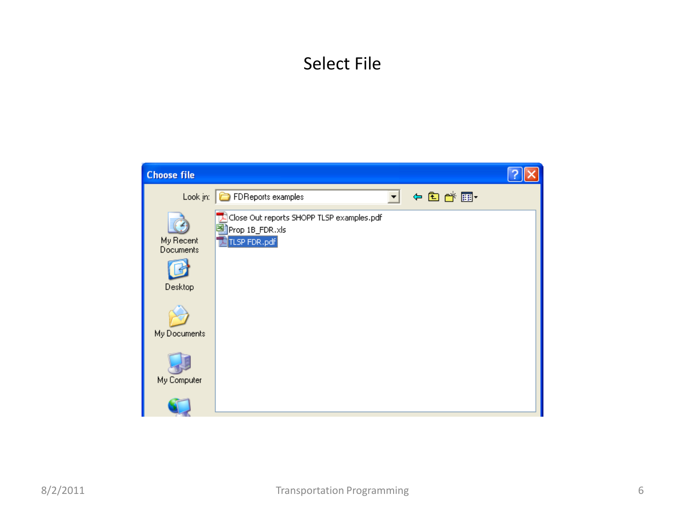# Select File

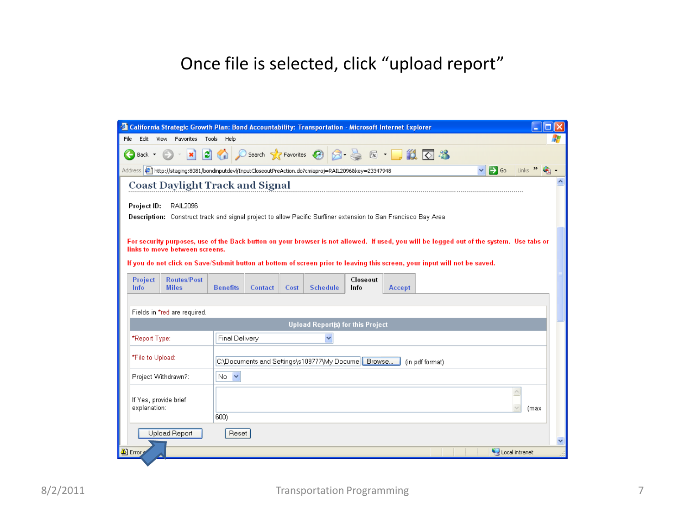# Once file is selected, click "upload report"

|                                       | <sup>2</sup> California Strategic Growth Plan: Bond Accountability: Transportation - Microsoft Internet Explorer                         |                      |         |      |                                                    |          |                                                                                                                                           |                 |                                 |                    |  |
|---------------------------------------|------------------------------------------------------------------------------------------------------------------------------------------|----------------------|---------|------|----------------------------------------------------|----------|-------------------------------------------------------------------------------------------------------------------------------------------|-----------------|---------------------------------|--------------------|--|
| File<br>Edit                          | View Favorites Tools Help                                                                                                                |                      |         |      |                                                    |          |                                                                                                                                           |                 |                                 |                    |  |
| $\leftarrow$<br>Back *                | $\vert x \vert$                                                                                                                          |                      |         |      | <b>B</b> C Search <b>R</b> Favorites <b>C</b>      |          | $\begin{array}{c} \n\mathbb{R} \n\end{array}$ $\begin{array}{c} \n\mathbb{R} \n\end{array}$ $\begin{array}{c} \n\mathbb{R} \n\end{array}$ |                 |                                 |                    |  |
|                                       | Address (#) http://staging:8081/bondinputdevl/InputCloseoutPreAction.do?cmiaproj=RAIL2096&key=23347948                                   |                      |         |      |                                                    |          |                                                                                                                                           |                 | $\mathbf{P}$ Go<br>$\checkmark$ | Links $\mathbf{v}$ |  |
|                                       | <b>Coast Daylight Track and Signal</b>                                                                                                   |                      |         |      |                                                    |          |                                                                                                                                           |                 |                                 |                    |  |
| Project ID:                           | RAIL2096                                                                                                                                 |                      |         |      |                                                    |          |                                                                                                                                           |                 |                                 |                    |  |
|                                       | Description: Construct track and signal project to allow Pacific Surfliner extension to San Francisco Bay Area                           |                      |         |      |                                                    |          |                                                                                                                                           |                 |                                 |                    |  |
|                                       |                                                                                                                                          |                      |         |      |                                                    |          |                                                                                                                                           |                 |                                 |                    |  |
|                                       | For security purposes, use of the Back button on your browser is not allowed. If used, you will be logged out of the system. Use tabs or |                      |         |      |                                                    |          |                                                                                                                                           |                 |                                 |                    |  |
|                                       | links to move between screens.                                                                                                           |                      |         |      |                                                    |          |                                                                                                                                           |                 |                                 |                    |  |
|                                       | If you do not click on Save/Submit button at bottom of screen prior to leaving this screen, your input will not be saved.                |                      |         |      |                                                    |          |                                                                                                                                           |                 |                                 |                    |  |
| Project                               | <b>Routes/Post</b>                                                                                                                       |                      |         |      |                                                    | Closeout |                                                                                                                                           |                 |                                 |                    |  |
| Info                                  | <b>Miles</b>                                                                                                                             | <b>Benefits</b>      | Contact | Cost | <b>Schedule</b>                                    | Info     | Accept                                                                                                                                    |                 |                                 |                    |  |
|                                       |                                                                                                                                          |                      |         |      |                                                    |          |                                                                                                                                           |                 |                                 |                    |  |
|                                       | Fields in *red are required.                                                                                                             |                      |         |      |                                                    |          |                                                                                                                                           |                 |                                 |                    |  |
|                                       |                                                                                                                                          |                      |         |      | <b>Upload Report(s) for this Project</b>           |          |                                                                                                                                           |                 |                                 |                    |  |
| *Report Type:                         |                                                                                                                                          | Final Delivery       |         |      |                                                    |          |                                                                                                                                           |                 |                                 |                    |  |
| *File to Upload:                      |                                                                                                                                          |                      |         |      |                                                    |          |                                                                                                                                           |                 |                                 |                    |  |
|                                       |                                                                                                                                          |                      |         |      | C:\Documents and Settings\s109777\My Docume Frowse |          |                                                                                                                                           | (in pdf format) |                                 |                    |  |
|                                       | Project Withdrawn?:                                                                                                                      | $No \nightharpoonup$ |         |      |                                                    |          |                                                                                                                                           |                 |                                 |                    |  |
|                                       |                                                                                                                                          |                      |         |      |                                                    |          |                                                                                                                                           |                 |                                 |                    |  |
| If Yes, provide brief<br>explanation: |                                                                                                                                          |                      |         |      |                                                    |          |                                                                                                                                           |                 |                                 | (max               |  |
|                                       |                                                                                                                                          | 600)                 |         |      |                                                    |          |                                                                                                                                           |                 |                                 |                    |  |
|                                       | <b>Upload Report</b>                                                                                                                     | Reset                |         |      |                                                    |          |                                                                                                                                           |                 |                                 |                    |  |
|                                       |                                                                                                                                          |                      |         |      |                                                    |          |                                                                                                                                           |                 |                                 |                    |  |
| <b>D</b> Error                        |                                                                                                                                          |                      |         |      |                                                    |          |                                                                                                                                           |                 |                                 | Local intranet     |  |
|                                       |                                                                                                                                          |                      |         |      |                                                    |          |                                                                                                                                           |                 |                                 |                    |  |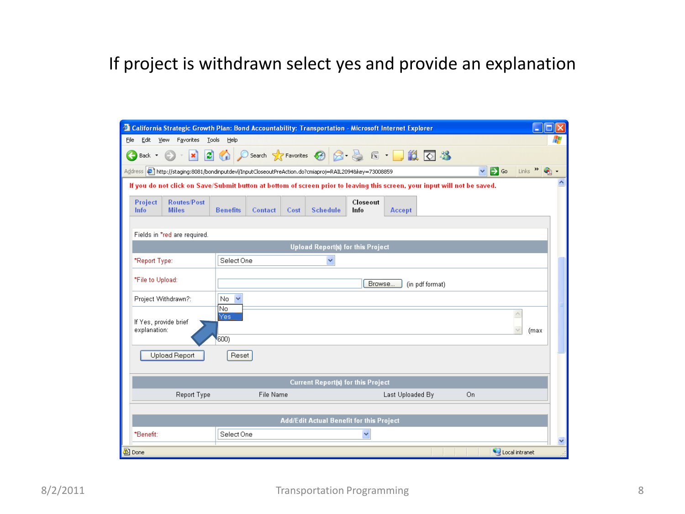# If project is withdrawn select yes and provide an explanation

|                                                       | <sup>2</sup> California Strategic Growth Plan: Bond Accountability: Transportation - Microsoft Internet Explorer<br>Е<br>$\blacksquare$                          |  |
|-------------------------------------------------------|------------------------------------------------------------------------------------------------------------------------------------------------------------------|--|
| Edit<br>View<br>Favorites<br>Eile                     | <b>Tools</b><br>Help                                                                                                                                             |  |
| ø<br>×<br>Back *                                      | ○search ☆Favorites ④ Q - △ 区 · ■ 11 区 23                                                                                                                         |  |
|                                                       | $\mathbf{B}$ Go<br>$Links$ $\rightarrow$<br>Address ( http://staging:8081/bondinputdevl/InputCloseoutPreAction.do?cmiaproj=RAIL2094&key=73008859<br>$\checkmark$ |  |
|                                                       | If you do not click on Save/Submit button at bottom of screen prior to leaving this screen, your input will not be saved.                                        |  |
| <b>Routes/Post</b><br>Project<br>Info<br><b>Miles</b> | Closeout<br>Info<br><b>Benefits</b><br><b>Schedule</b><br>Contact<br>Cost<br>Accept                                                                              |  |
| Fields in *red are required.                          |                                                                                                                                                                  |  |
|                                                       | <b>Upload Report(s) for this Project</b>                                                                                                                         |  |
| *Report Type:                                         | Select One                                                                                                                                                       |  |
| *File to Upload:                                      | Browse<br>(in pdf format)                                                                                                                                        |  |
| Project Withdrawn?:                                   | No.<br>$\overline{\mathbf{v}}$                                                                                                                                   |  |
| If Yes, provide brief<br>explanation:                 | No.<br>$\triangleright$<br>Yes<br>(max<br>600)                                                                                                                   |  |
| <b>Upload Report</b>                                  | Reset                                                                                                                                                            |  |
|                                                       | <b>Current Report(s) for this Project</b>                                                                                                                        |  |
| Report Type                                           | File Name<br>Last Uploaded By<br>On                                                                                                                              |  |
|                                                       |                                                                                                                                                                  |  |
|                                                       | Add/Edit Actual Benefit for this Project                                                                                                                         |  |
| *Benefit:                                             | Select One<br>v                                                                                                                                                  |  |
| <b>Done</b>                                           | Local intranet                                                                                                                                                   |  |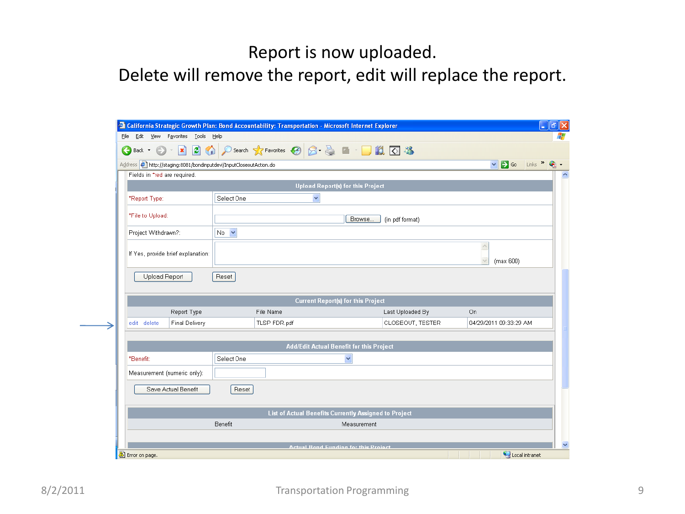#### Report is now uploaded.

#### Delete will remove the report, edit will replace the report.

| File                         | Edit View Favorites Tools Help                                     | <sup>2</sup> California Strategic Growth Plan: Bond Accountability: Transportation - Microsoft Internet Explorer |              |                                                       |                  | $\blacksquare$                                               |
|------------------------------|--------------------------------------------------------------------|------------------------------------------------------------------------------------------------------------------|--------------|-------------------------------------------------------|------------------|--------------------------------------------------------------|
| Θ<br>Back $\bullet$ (e)      | $\vert \mathbf{x} \vert$                                           |                                                                                                                  |              | 2 1 0 Search ☆Favorites → 2 2 → 2 ■ - ■ 1 3 3         |                  |                                                              |
|                              | Address 6 http://staging:8081/bondinputdevl/InputCloseoutAction.do |                                                                                                                  |              |                                                       |                  | $\vee$ $\rightarrow$ Go<br>Links $\rightarrow$ $\rightarrow$ |
| Fields in *red are required. |                                                                    |                                                                                                                  |              |                                                       |                  |                                                              |
|                              |                                                                    |                                                                                                                  |              | <b>Upload Report(s) for this Project</b>              |                  |                                                              |
| *Report Type:                |                                                                    | Select One                                                                                                       |              | $\checkmark$                                          |                  |                                                              |
| *File to Upload:             |                                                                    |                                                                                                                  |              | Browse.                                               | (in pdf format)  |                                                              |
| Project Withdrawn?:          |                                                                    | $No \nightharpoonup$                                                                                             |              |                                                       |                  |                                                              |
|                              | If Yes, provide brief explanation:                                 |                                                                                                                  |              |                                                       |                  | $\land$<br>(max 600)                                         |
| Upload Report                |                                                                    | Reset                                                                                                            |              |                                                       |                  |                                                              |
|                              |                                                                    |                                                                                                                  |              | <b>Current Report(s) for this Project</b>             |                  |                                                              |
|                              | Report Type                                                        |                                                                                                                  | File Name    |                                                       | Last Uploaded By | On                                                           |
| edit delete                  | <b>Final Delivery</b>                                              |                                                                                                                  | TLSP FDR.pdf |                                                       | CLOSEOUT, TESTER | 04/29/2011 09:33:29 AM                                       |
|                              |                                                                    |                                                                                                                  |              |                                                       |                  |                                                              |
|                              |                                                                    |                                                                                                                  |              | Add/Edit Actual Benefit for this Project              |                  |                                                              |
|                              |                                                                    | Select One                                                                                                       |              | $\checkmark$                                          |                  |                                                              |
| *Benefit:                    |                                                                    |                                                                                                                  |              |                                                       |                  |                                                              |
|                              | Measurement (numeric only):                                        |                                                                                                                  |              |                                                       |                  |                                                              |
|                              | Save Actual Benefit                                                | Reset                                                                                                            |              |                                                       |                  |                                                              |
|                              |                                                                    |                                                                                                                  |              | List of Actual Benefits Currently Assigned to Project |                  |                                                              |
|                              |                                                                    | Benefit                                                                                                          |              | Measurement                                           |                  |                                                              |
|                              |                                                                    |                                                                                                                  |              |                                                       |                  |                                                              |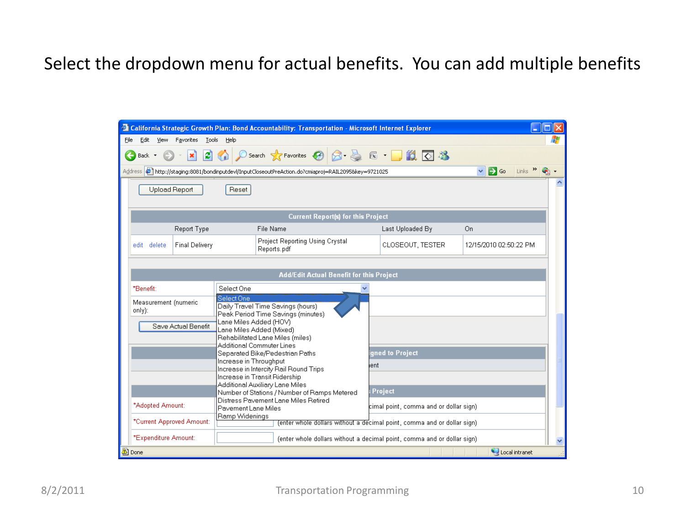## Select the dropdown menu for actual benefits. You can add multiple benefits

|      |                      |                           |                                                    | <sup>2</sup> California Strategic Growth Plan: Bond Accountability: Transportation - Microsoft Internet Explorer        |      |                                         |                                                     |  |
|------|----------------------|---------------------------|----------------------------------------------------|-------------------------------------------------------------------------------------------------------------------------|------|-----------------------------------------|-----------------------------------------------------|--|
| File | Edit<br>View         | Favorites                 | Tools<br>Help                                      |                                                                                                                         |      |                                         |                                                     |  |
|      | Back *               | ×                         | $\left  \bm{z} \right $                            | Search ☆Favorites → 日 日 国 国 国 国 名                                                                                       |      |                                         |                                                     |  |
|      |                      |                           |                                                    | Address (120958/key=9721025) http://staging:8081/bondinputdevl/InputCloseoutPreAction.do?cmiaproj=RAIL20958/key=9721025 |      |                                         | $\Rightarrow$ Go<br>$Links$ $\rightarrow$<br>$\vee$ |  |
|      |                      | Upload Report             | Reset                                              |                                                                                                                         |      |                                         |                                                     |  |
|      |                      |                           |                                                    | <b>Current Report(s) for this Project</b>                                                                               |      |                                         |                                                     |  |
|      |                      | Report Type               |                                                    | File Name                                                                                                               |      | Last Uploaded By                        | On                                                  |  |
|      | edit delete          | <b>Final Delivery</b>     |                                                    | Project Reporting Using Crystal<br>Reports.pdf                                                                          |      | CLOSEOUT, TESTER                        | 12/15/2010 02:50:22 PM                              |  |
|      |                      |                           |                                                    | <b>Add/Edit Actual Benefit for this Project</b>                                                                         |      |                                         |                                                     |  |
|      | *Benefit:            |                           | Select One                                         |                                                                                                                         |      |                                         |                                                     |  |
|      | only):               | Measurement (numeric      | Select One                                         | Daily Travel Time Savings (hours)<br>Peak Period Time Savings (minutes)                                                 |      |                                         |                                                     |  |
|      |                      | Save Actual Benefit       | Lane Miles Added (HOV)<br>Lane Miles Added (Mixed) |                                                                                                                         |      |                                         |                                                     |  |
|      |                      |                           | Additional Commuter Lines                          | Rehabilitated Lane Miles (miles)                                                                                        |      |                                         |                                                     |  |
|      |                      |                           |                                                    | Separated Bike/Pedestrian Paths                                                                                         |      | qned to Project                         |                                                     |  |
|      |                      |                           | Increase in Throughput                             | Increase in Intercity Rail Round Trips                                                                                  | lent |                                         |                                                     |  |
|      |                      |                           |                                                    | Increase in Transit Ridership<br>Additional Auxiliary Lane Miles                                                        |      |                                         |                                                     |  |
|      |                      |                           |                                                    | Number of Stations / Number of Ramps Metered                                                                            |      | Project                                 |                                                     |  |
|      | *Adopted Amount:     |                           | Pavement Lane Miles                                | Distress Pavement Lane Miles Retired                                                                                    |      | cimal point, comma and or dollar sign). |                                                     |  |
|      |                      | *Current Approved Amount: | Ramp Widenings                                     | (enter whole dollars without a decimal point, comma and or dollar sign)                                                 |      |                                         |                                                     |  |
|      | *Expenditure Amount: |                           |                                                    | (enter whole dollars without a decimal point, comma and or dollar sign)                                                 |      |                                         |                                                     |  |
|      | A Done               |                           |                                                    |                                                                                                                         |      |                                         | Local intranet                                      |  |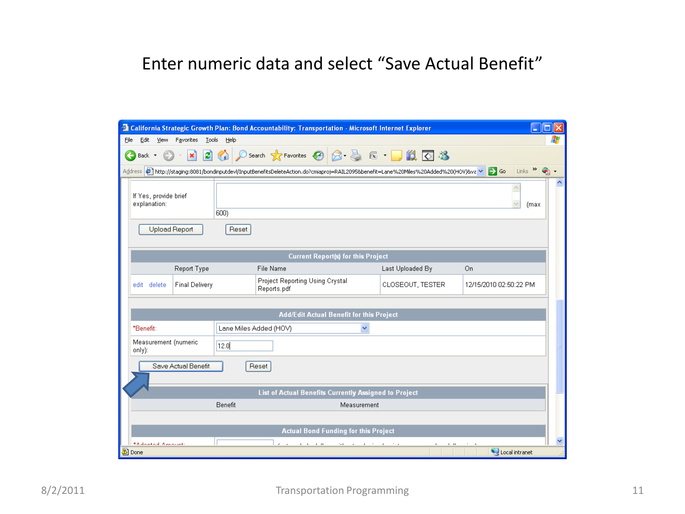#### Enter numeric data and select "Save Actual Benefit"

| <sup>2</sup> California Strategic Growth Plan: Bond Accountability: Transportation - Microsoft Internet Explorer                                          |                             |                        |                                                              |                                             |                  |          |                        |                     |
|-----------------------------------------------------------------------------------------------------------------------------------------------------------|-----------------------------|------------------------|--------------------------------------------------------------|---------------------------------------------|------------------|----------|------------------------|---------------------|
| Edit<br>View<br>File                                                                                                                                      | Favorites<br>Tools Help     |                        |                                                              |                                             |                  |          |                        |                     |
| Back *<br>Address <sup>2</sup> http://staging:8081/bondinputdevl/InputBenefitsDeleteAction.do?cmiaproj=RAIL2095&benefit=Lane%20Miles%20Added%20(HOV)&va → | <b>BI</b><br>$ \mathbf{x} $ |                        | ○Search ☆Favorites ④ B 忌 区 ■ 13 区 %                          |                                             |                  |          | $\Rightarrow$ Go       | Links $\frac{1}{2}$ |
|                                                                                                                                                           |                             |                        |                                                              |                                             |                  |          |                        |                     |
| If Yes, provide brief<br>explanation:                                                                                                                     | 600)                        |                        |                                                              |                                             |                  |          |                        | (max                |
| <b>Upload Report</b>                                                                                                                                      |                             | Reset                  |                                                              |                                             |                  |          |                        |                     |
|                                                                                                                                                           |                             |                        |                                                              | <b>Current Report(s) for this Project</b>   |                  |          |                        |                     |
|                                                                                                                                                           | Report Type                 |                        | File Name                                                    |                                             | Last Uploaded By |          | On                     |                     |
| edit<br>delete                                                                                                                                            | <b>Final Delivery</b>       |                        | Project Reporting Using Crystal<br>Reports.pdf               |                                             | CLOSEOUT, TESTER |          | 12/15/2010 02:50:22 PM |                     |
|                                                                                                                                                           |                             |                        |                                                              |                                             |                  |          |                        |                     |
|                                                                                                                                                           |                             |                        |                                                              | Add/Edit Actual Benefit for this Project    |                  |          |                        |                     |
| *Benefit:                                                                                                                                                 |                             | Lane Miles Added (HOV) |                                                              |                                             |                  |          |                        |                     |
| Measurement (numeric<br>only):                                                                                                                            | 12.0                        |                        |                                                              |                                             |                  |          |                        |                     |
|                                                                                                                                                           | Save Actual Benefit         | Reset                  |                                                              |                                             |                  |          |                        |                     |
|                                                                                                                                                           |                             |                        | <b>List of Actual Benefits Currently Assigned to Project</b> |                                             |                  |          |                        |                     |
|                                                                                                                                                           | Benefit                     |                        |                                                              | Measurement                                 |                  |          |                        |                     |
|                                                                                                                                                           |                             |                        |                                                              |                                             |                  |          |                        |                     |
|                                                                                                                                                           |                             |                        |                                                              | <b>Actual Bond Funding for this Project</b> |                  |          |                        |                     |
| *Adopted America                                                                                                                                          |                             |                        | <b>CONTRACTOR</b>                                            | 24.00                                       |                  | $1 - 11$ |                        |                     |
| <b>Done</b>                                                                                                                                               |                             |                        |                                                              |                                             |                  |          |                        | Local intranet      |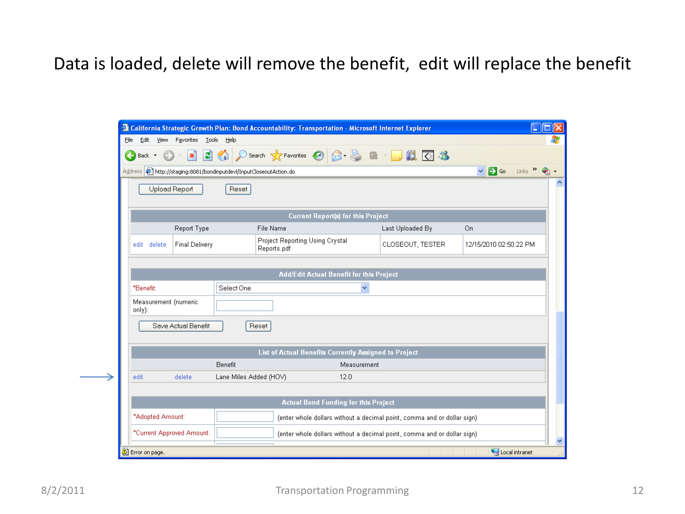## Data is loaded, delete will remove the benefit, edit will replace the benefit

|                                                                                            |                        | <sup>2</sup> California Strategic Growth Plan: Bond Accountability: Transportation - Microsoft Internet Explorer |             |                                                                         | $\blacksquare$                                    | о |
|--------------------------------------------------------------------------------------------|------------------------|------------------------------------------------------------------------------------------------------------------|-------------|-------------------------------------------------------------------------|---------------------------------------------------|---|
| Edit<br>View<br>Favorites<br>File                                                          | <b>Tools</b><br>Help   |                                                                                                                  |             |                                                                         |                                                   |   |
| Back *                                                                                     | э<br>×                 | Search ☆ Favorites ④ B B ■ ■ ■ 13 回答                                                                             |             |                                                                         |                                                   |   |
| Address $\left  \epsilon \right $ http://staging:8081/bondinputdevl/InputCloseoutAction.do |                        |                                                                                                                  |             |                                                                         | $\Rightarrow$ Go<br>Links $\rightarrow$<br>$\vee$ |   |
| Upload Report                                                                              | Reset                  |                                                                                                                  |             |                                                                         |                                                   |   |
|                                                                                            |                        | <b>Current Report(s) for this Project</b>                                                                        |             |                                                                         |                                                   |   |
|                                                                                            | Report Type            | File Name                                                                                                        |             | Last Uploaded By                                                        | On.                                               |   |
| edit delete                                                                                | <b>Final Delivery</b>  | Project Reporting Using Crystal<br>Reports.pdf                                                                   |             | CLOSEOUT, TESTER                                                        | 12/15/2010 02:50:22 PM                            |   |
|                                                                                            |                        | Add/Edit Actual Benefit for this Project                                                                         |             |                                                                         |                                                   |   |
| *Benefit:                                                                                  | Select One             |                                                                                                                  | v           |                                                                         |                                                   |   |
| Measurement (numeric<br>only):                                                             |                        |                                                                                                                  |             |                                                                         |                                                   |   |
| Save Actual Benefit                                                                        |                        | Reset                                                                                                            |             |                                                                         |                                                   |   |
|                                                                                            |                        | List of Actual Benefits Currently Assigned to Project                                                            |             |                                                                         |                                                   |   |
|                                                                                            | Benefit                |                                                                                                                  | Measurement |                                                                         |                                                   |   |
| delete<br>edit                                                                             | Lane Miles Added (HOV) | 12.0                                                                                                             |             |                                                                         |                                                   |   |
|                                                                                            |                        |                                                                                                                  |             |                                                                         |                                                   |   |
|                                                                                            |                        | <b>Actual Bond Funding for this Project</b>                                                                      |             |                                                                         |                                                   |   |
| *Adopted Amount:                                                                           |                        |                                                                                                                  |             | (enter whole dollars without a decimal point, comma and or dollar sign) |                                                   |   |
| *Current Approved Amount:                                                                  |                        |                                                                                                                  |             | (enter whole dollars without a decimal point, comma and or dollar sign) |                                                   |   |
| Error on page.                                                                             |                        |                                                                                                                  |             |                                                                         | Local intranet                                    |   |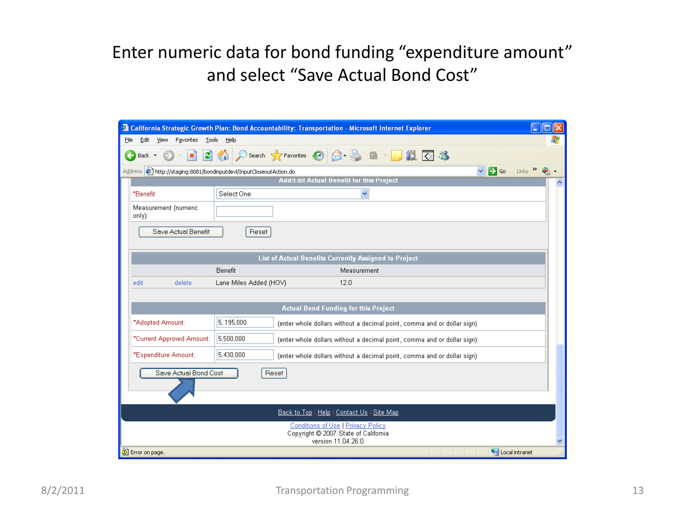# Enter numeric data for bond funding "expenditure amount" and select "Save Actual Bond Cost"

| <sup>2</sup> California Strategic Growth Plan: Bond Accountability: Transportation - Microsoft Internet Explorer                                  |   |
|---------------------------------------------------------------------------------------------------------------------------------------------------|---|
| Edit<br>View<br>Favorites<br>Tools<br>Help<br>File                                                                                                |   |
| D Search ☆Favorites → 日 日 日 日 13<br>이<br>×<br>œ.<br>Back *                                                                                        |   |
| Links $\mathbf{v}$<br>Address $\left \bullet\right\rangle$ http://staging:8081/bondinputdevl/InputCloseoutAction.do<br>$\Rightarrow$ Go<br>$\vee$ |   |
| <b>Add/Edit Actual Benetit tor this Project</b>                                                                                                   |   |
| Select One<br>*Benefit:<br>$\checkmark$                                                                                                           |   |
| Measurement (numeric<br>$only)$ :                                                                                                                 |   |
| Save Actual Benefit<br>Reset                                                                                                                      |   |
| List of Actual Benefits Currently Assigned to Project                                                                                             |   |
| Benefit<br>Measurement                                                                                                                            |   |
| delete<br>Lane Miles Added (HOV)<br>12.0<br>edit                                                                                                  |   |
|                                                                                                                                                   |   |
| <b>Actual Bond Funding for this Project</b>                                                                                                       |   |
| 5.195.000<br>*Adopted Amount:<br>(enter whole dollars without a decimal point, comma and or dollar sign)                                          |   |
| 5.500.000<br>*Current Approved Amount:<br>(enter whole dollars without a decimal point, comma and or dollar sign)                                 |   |
| 5.430.000<br>*Expenditure Amount:<br>(enter whole dollars without a decimal point, comma and or dollar sign)                                      |   |
| Save Actual Bond Cost<br>Reset                                                                                                                    |   |
| Back to Top   Help   Contact Us   Site Map                                                                                                        |   |
| Conditions of Use   Privacy Policy<br>Copyright C 2007 State of California<br>version 11.04.26.0                                                  | v |
| Error on page.<br>Local intranet                                                                                                                  |   |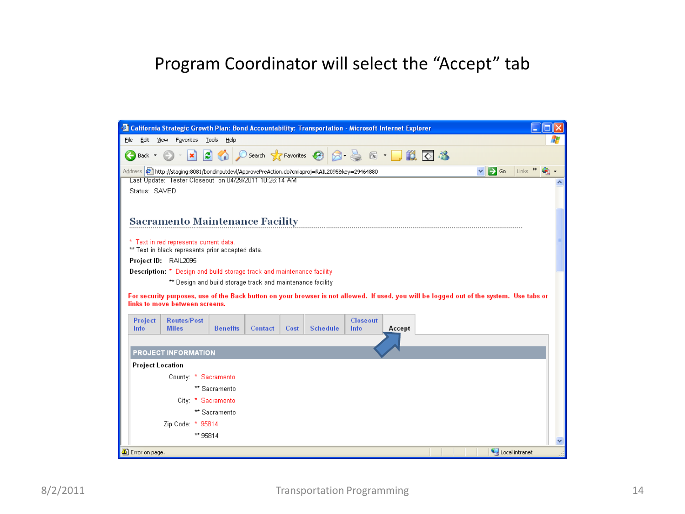#### Program Coordinator will select the "Accept" tab